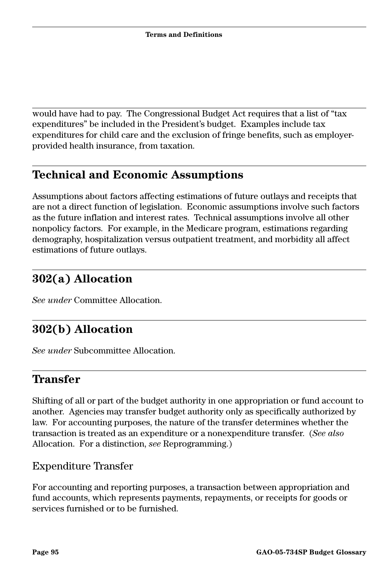would have had to pay. The Congressional Budget Act requires that a list of "tax expenditures" be included in the President's budget. Examples include tax expenditures for child care and the exclusion of fringe benefits, such as employerprovided health insurance, from taxation.

## **Technical and Economic Assumptions**

Assumptions about factors affecting estimations of future outlays and receipts that are not a direct function of legislation. Economic assumptions involve such factors as the future inflation and interest rates. Technical assumptions involve all other nonpolicy factors. For example, in the Medicare program, estimations regarding demography, hospitalization versus outpatient treatment, and morbidity all affect estimations of future outlays.

# **302(a) Allocation**

*See under* Committee Allocation.

## **302(b) Allocation**

*See under* Subcommittee Allocation.

### **Transfer**

Shifting of all or part of the budget authority in one appropriation or fund account to another. Agencies may transfer budget authority only as specifically authorized by law. For accounting purposes, the nature of the transfer determines whether the transaction is treated as an expenditure or a nonexpenditure transfer. (*See also* Allocation. For a distinction, *see* Reprogramming.)

#### Expenditure Transfer

For accounting and reporting purposes, a transaction between appropriation and fund accounts, which represents payments, repayments, or receipts for goods or services furnished or to be furnished.